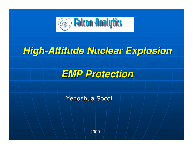

### **High-Altitude Nuclear Explosion**



Yehoshua Socol

2009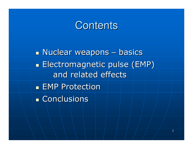### **Contents**

 $\mathbb{R}^2$  Nuclear weapons – basics $\mathbb{R}^2$  Electromagnetic pulse (EMP) and related effects $\mathbb{R}^2$ **EMP Protection**  $\mathbb{R}^2$ **- Conclusions**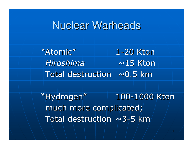#### Nuclear Warheads

"Atomic"1-20 Ktona  $\sim$ 15 Kton HiroshimaTotal destruction  $~\sim$  0.5 km

"Hydrogen"much more complicated; " | 100-1000 Kton Total destruction  $\sim$ 3-5 km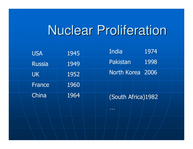# Nuclear Proliferation

| <b>USA</b>    | 1945 | India<br>1974                      |
|---------------|------|------------------------------------|
| <b>Russia</b> | 1949 | <b>Pakistan</b><br>1998            |
| UK            | 1952 | North Korea 2006                   |
| <b>France</b> | 1960 |                                    |
| China         | 1964 | (South Africa)1982                 |
|               |      | $\mathbf{u}=\mathbf{u}+\mathbf{u}$ |
|               |      |                                    |
|               |      |                                    |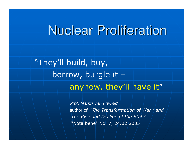# Nuclear Proliferation

"They'll build, buy, borrow, burgle it –anyhow, they'll have it"

> Prof. Martin Van Creveldauthor of "The Transformation of War " and "The Rise and Decline of the State""Nota bene" No. 7, 24.02.2005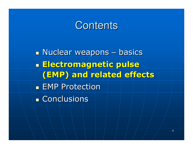#### **Contents**

 $\mathbb{R}^2$  Nuclear weapons – basics $\mathbb{R}^2$ **Electromagnetic pulse** (EMP) and related effects $\mathbb{R}^2$ **EMP Protection**  $\mathbb{R}^2$ **- Conclusions**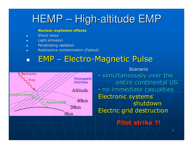# HEMP – High-altitude EMP

#### Nuclear explosion effects

- $\blacksquare$ Shock wave
- $\blacksquare$  Light emission  $\blacksquare$
- **Renetrating radiation**  $\blacksquare$
- $\blacksquare$  Radioactive contamination (Fallout)  $\blacksquare$

#### $\Box$ EMP – Electro-Magnetic Pulse



Scenario • simultaneously over the entire continental US • no immediate casualtiesElectronic systems'shutdownElectric grid destruction

Pilot strike ?!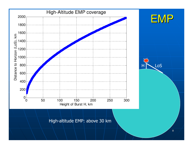

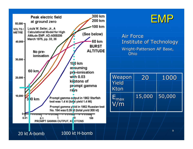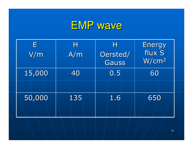# EMP wave

| E<br>V/m | Н<br>A/m | Н<br>Oersted/<br><b>Gauss</b> | Energy<br>flux S<br>W/cm <sup>2</sup> |
|----------|----------|-------------------------------|---------------------------------------|
| 15,000   | 40       | 0.5                           | 60                                    |
| 50,000   | 135      | 1.6                           | 650                                   |
|          |          |                               | 10                                    |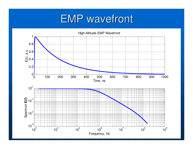# EMP wavefront

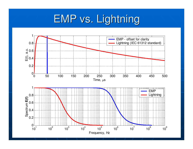# EMP vs. Lightning

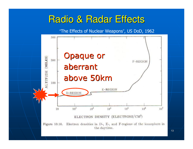#### Radio & Radar Effects

"The Effects of Nuclear Weapons", US DoD, 1962

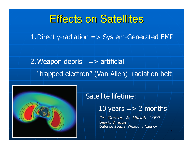### Effects on Satellites

1. Direct  $\gamma$ -radiation => System-Generated EMP

2. Weapon debris  $\Rightarrow$  artificial "trapped electron" (Van Allen) radiation belt



#### Satellite lifetime:

10 years  $=$  > 2 months

Dr. George W. Ullrich, 1997Deputy Director, Defense Special Weapons Agency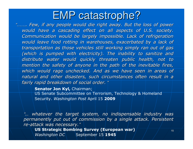## EMP catastrophe?

 "……. Few, if any people would die right away. But the loss of power would have a cascading effect on all aspects of U.S. society. Communication would be largely impossible. Lack of refrigeration would leave food rotting in warehouses, exacerbated by a lack oftransportation as those vehicles still working simply ran out of gas (which is pumped with electricity). The inability to sanitize and distribute water would quickly threaten public health, not to mention the safety of anyone in the path of the inevitable fires, which would rage unchecked. And as we have seen in areas of natural and other disasters, such circumstances often result in a fairly rapid breakdown of social order."

#### Senator Jon Kyl, Chairman;

 US Senate Subcommittee on Terrorism, Technology & Homeland Security. *Washington Post* April 15 **2009** 

" …... whatever the target system, no indispensable industry was<br>permanently nut out of commission by a single attack Persistent. permanently put out of commission by a single attack. Persistent re-attack was necessary."

 US Strategic Bombing Survey (European war) *Washington DC* $\backslash$  September 15 1945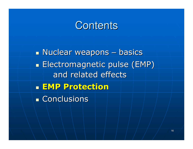### **Contents**

 $\mathbb{R}^2$  Nuclear weapons – basics $\mathbb{R}^2$  Electromagnetic pulse (EMP) and related effects $\mathbb{R}^2$ **EMP Protection**  $\mathbb{R}^2$ **- Conclusions**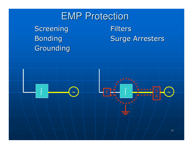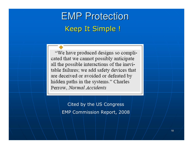## Keep It Simple !EMP Protection

"We have produced designs so complicated that we cannot possibly anticipate all the possible interactions of the inevitable failures; we add safety devices that are deceived or avoided or defeated by hidden paths in the systems." Charles Perrow, Normal Accidents

> Cited by the US Congress EMP Commission Report, 2008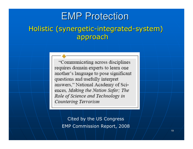#### Holistic (synergetic-integrated-system) approachEMP Protection

"Communicating across disciplines requires domain experts to learn one another's language to pose significant questions and usefully interpret answers," National Academy of Sciences, Making the Nation Safer; The Role of Science and Technology in Countering Terrorism

Cited by the US Congress EMP Commission Report, 2008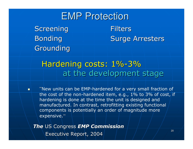ScreeningBonding Grounding**Filters** Surge ArrestersEMP Protection

#### Hardening costs: 1%-3% at the development stage

"New units can be EMP-hardened for a very small fraction of the cost of the non-hardened item, e.g., 1% to 3% of cost, if hardening is done at the time the unit is designed and manufactured. In contrast, retrofitting existing functional components is potentially an order of magnitude more expensive."

**The** US Congress **EMP Commission** Executive Report, 2004

 $\blacksquare$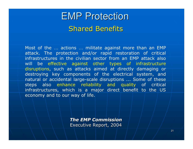### Shared BenefitsEMP Protection

Most of the ... actions ... militate against more than an EMP<br>attack . The protection and/or rapid restoration of critical attack. The protection and/or rapid restoration of critical infrastructures in the civilian sector from an EMP attack also will be effective against other types of infrastructure disruptions, such as attacks aimed at directly damaging or destroying key components of the electrical system, and natural or accidental large-scale disruptions ... Some of these steps also enhance reliability and quality of critical infrastructures, which is a major direct benefit to the US economy and to our way of life.

> The EMP CommissionExecutive Report, 2004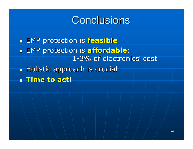# **Conclusions**

 $\mathbb{R}^2$ **= EMP protection is <mark>feasible</mark>**  $\mathbb{R}^2$ **EMP** protection is affordable: 1-3% of electronics' cost $\mathbb{R}^2$ **- Holistic approach is <mark>crucial</mark>**  $\mathbb{R}^2$ **. Time to act!**